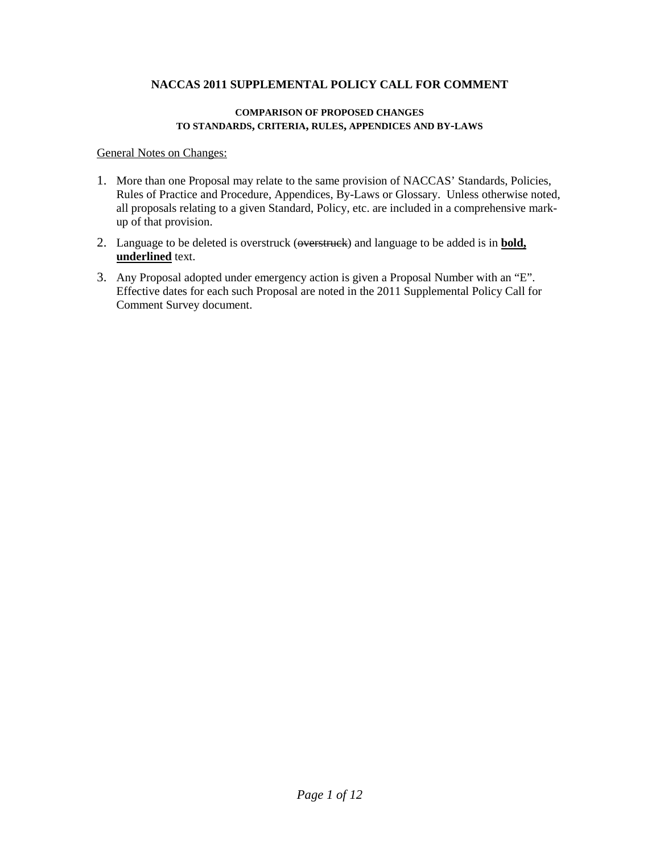#### **COMPARISON OF PROPOSED CHANGES TO STANDARDS, CRITERIA, RULES, APPENDICES AND BY-LAWS**

General Notes on Changes:

- 1. More than one Proposal may relate to the same provision of NACCAS' Standards, Policies, Rules of Practice and Procedure, Appendices, By-Laws or Glossary. Unless otherwise noted, all proposals relating to a given Standard, Policy, etc. are included in a comprehensive markup of that provision.
- 2. Language to be deleted is overstruck (overstruck) and language to be added is in **bold, underlined** text.
- 3. Any Proposal adopted under emergency action is given a Proposal Number with an "E". Effective dates for each such Proposal are noted in the 2011 Supplemental Policy Call for Comment Survey document.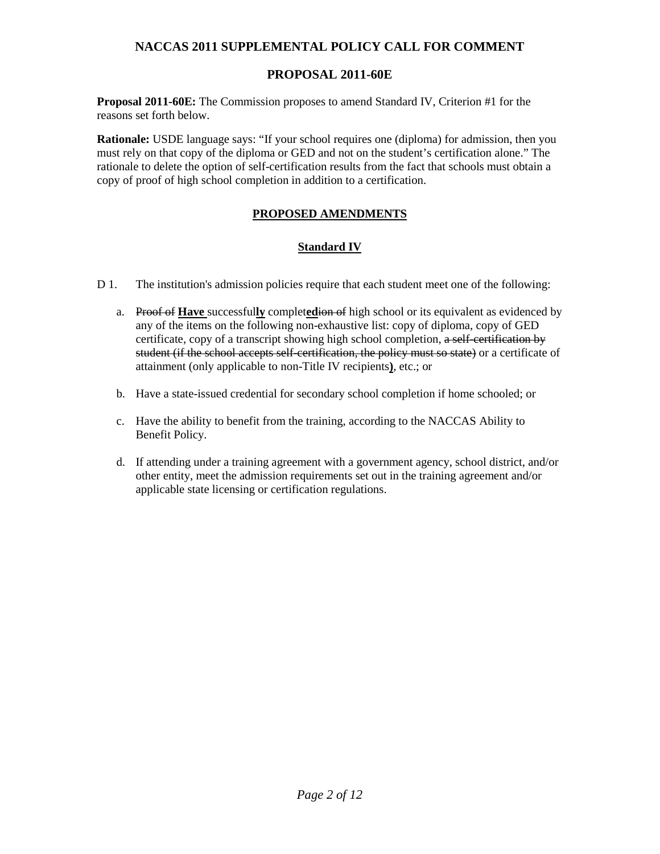# **PROPOSAL 2011-60E**

**Proposal 2011-60E:** The Commission proposes to amend Standard IV, Criterion #1 for the reasons set forth below.

**Rationale:** USDE language says: "If your school requires one (diploma) for admission, then you must rely on that copy of the diploma or GED and not on the student's certification alone." The rationale to delete the option of self-certification results from the fact that schools must obtain a copy of proof of high school completion in addition to a certification.

# **PROPOSED AMENDMENTS**

## **Standard IV**

- D 1. The institution's admission policies require that each student meet one of the following:
	- a. Proof of **Have** successful**ly** complet**ed**ion of high school or its equivalent as evidenced by any of the items on the following non-exhaustive list: copy of diploma, copy of GED certificate, copy of a transcript showing high school completion, a self-certification by student (if the school accepts self-certification, the policy must so state) or a certificate of attainment (only applicable to non-Title IV recipients**)**, etc.; or
	- b. Have a state-issued credential for secondary school completion if home schooled; or
	- c. Have the ability to benefit from the training, according to the NACCAS Ability to Benefit Policy.
	- d. If attending under a training agreement with a government agency, school district, and/or other entity, meet the admission requirements set out in the training agreement and/or applicable state licensing or certification regulations.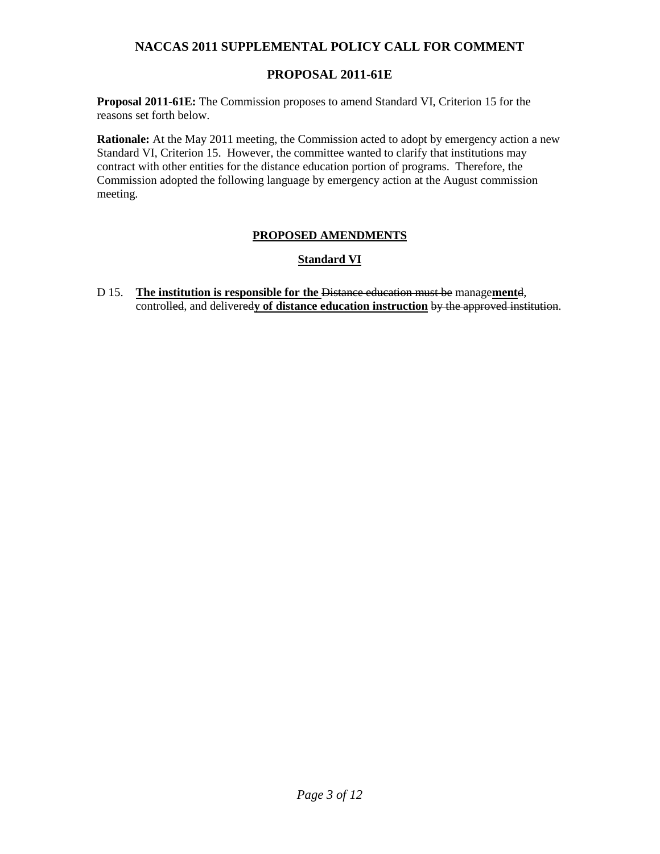# **PROPOSAL 2011-61E**

**Proposal 2011-61E:** The Commission proposes to amend Standard VI, Criterion 15 for the reasons set forth below.

**Rationale:** At the May 2011 meeting, the Commission acted to adopt by emergency action a new Standard VI, Criterion 15. However, the committee wanted to clarify that institutions may contract with other entities for the distance education portion of programs. Therefore, the Commission adopted the following language by emergency action at the August commission meeting.

### **PROPOSED AMENDMENTS**

### **Standard VI**

D 15. **The institution is responsible for the** Distance education must be manage**ment**d, controlled, and delivered**y of distance education instruction** by the approved institution.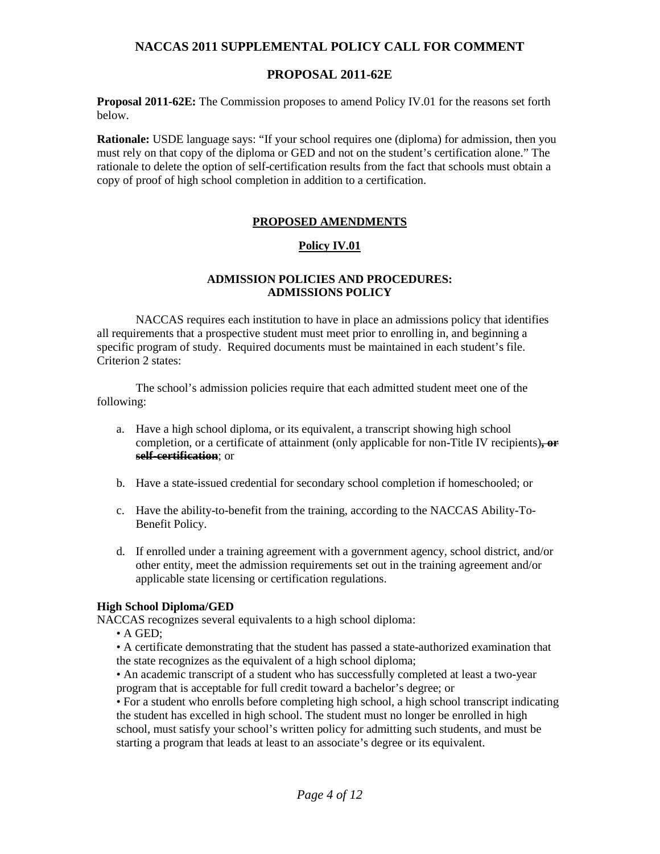### **PROPOSAL 2011-62E**

**Proposal 2011-62E:** The Commission proposes to amend Policy IV.01 for the reasons set forth below.

**Rationale:** USDE language says: "If your school requires one (diploma) for admission, then you must rely on that copy of the diploma or GED and not on the student's certification alone." The rationale to delete the option of self-certification results from the fact that schools must obtain a copy of proof of high school completion in addition to a certification.

### **PROPOSED AMENDMENTS**

### **Policy IV.01**

### **ADMISSION POLICIES AND PROCEDURES: ADMISSIONS POLICY**

 NACCAS requires each institution to have in place an admissions policy that identifies all requirements that a prospective student must meet prior to enrolling in, and beginning a specific program of study. Required documents must be maintained in each student's file. Criterion 2 states:

 The school's admission policies require that each admitted student meet one of the following:

- a. Have a high school diploma, or its equivalent, a transcript showing high school completion, or a certificate of attainment (only applicable for non-Title IV recipients)**, or self-certification**; or
- b. Have a state-issued credential for secondary school completion if homeschooled; or
- c. Have the ability-to-benefit from the training, according to the NACCAS Ability-To-Benefit Policy.
- d. If enrolled under a training agreement with a government agency, school district, and/or other entity, meet the admission requirements set out in the training agreement and/or applicable state licensing or certification regulations.

#### **High School Diploma/GED**

NACCAS recognizes several equivalents to a high school diploma:

• A GED;

• A certificate demonstrating that the student has passed a state-authorized examination that the state recognizes as the equivalent of a high school diploma;

• An academic transcript of a student who has successfully completed at least a two-year program that is acceptable for full credit toward a bachelor's degree; or

• For a student who enrolls before completing high school, a high school transcript indicating the student has excelled in high school. The student must no longer be enrolled in high school, must satisfy your school's written policy for admitting such students, and must be starting a program that leads at least to an associate's degree or its equivalent.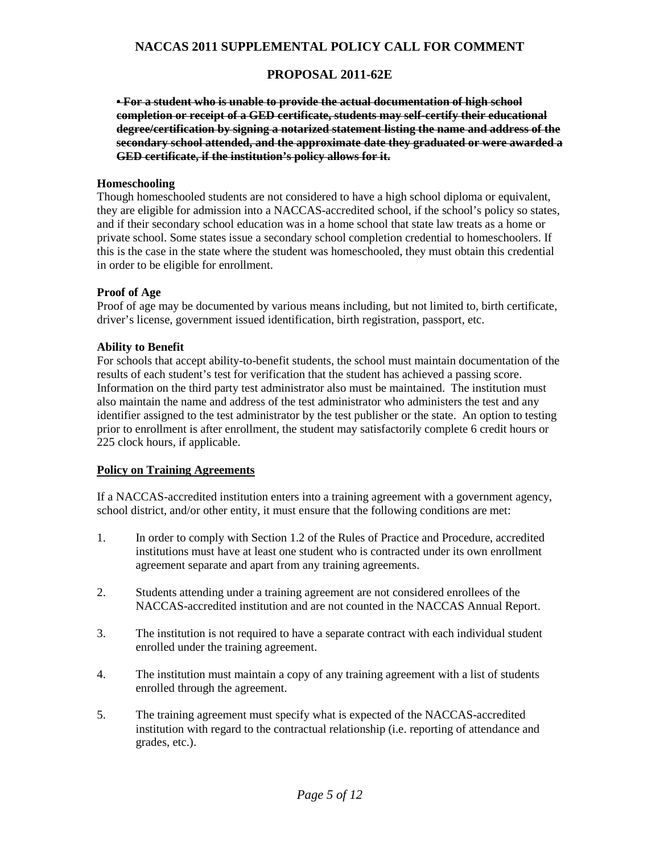# **PROPOSAL 2011-62E**

**• For a student who is unable to provide the actual documentation of high school completion or receipt of a GED certificate, students may self-certify their educational degree/certification by signing a notarized statement listing the name and address of the secondary school attended, and the approximate date they graduated or were awarded a GED certificate, if the institution's policy allows for it.**

### **Homeschooling**

Though homeschooled students are not considered to have a high school diploma or equivalent, they are eligible for admission into a NACCAS-accredited school, if the school's policy so states, and if their secondary school education was in a home school that state law treats as a home or private school. Some states issue a secondary school completion credential to homeschoolers. If this is the case in the state where the student was homeschooled, they must obtain this credential in order to be eligible for enrollment.

### **Proof of Age**

Proof of age may be documented by various means including, but not limited to, birth certificate, driver's license, government issued identification, birth registration, passport, etc.

### **Ability to Benefit**

For schools that accept ability-to-benefit students, the school must maintain documentation of the results of each student's test for verification that the student has achieved a passing score. Information on the third party test administrator also must be maintained. The institution must also maintain the name and address of the test administrator who administers the test and any identifier assigned to the test administrator by the test publisher or the state. An option to testing prior to enrollment is after enrollment, the student may satisfactorily complete 6 credit hours or 225 clock hours, if applicable.

#### **Policy on Training Agreements**

If a NACCAS-accredited institution enters into a training agreement with a government agency, school district, and/or other entity, it must ensure that the following conditions are met:

- 1. In order to comply with Section 1.2 of the Rules of Practice and Procedure, accredited institutions must have at least one student who is contracted under its own enrollment agreement separate and apart from any training agreements.
- 2. Students attending under a training agreement are not considered enrollees of the NACCAS-accredited institution and are not counted in the NACCAS Annual Report.
- 3. The institution is not required to have a separate contract with each individual student enrolled under the training agreement.
- 4. The institution must maintain a copy of any training agreement with a list of students enrolled through the agreement.
- 5. The training agreement must specify what is expected of the NACCAS-accredited institution with regard to the contractual relationship (i.e. reporting of attendance and grades, etc.).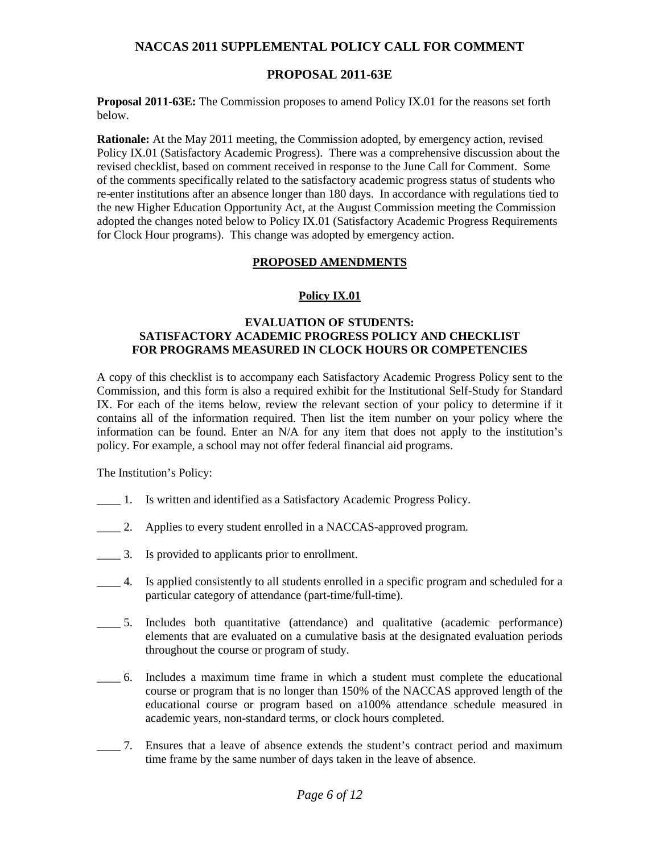### **PROPOSAL 2011-63E**

**Proposal 2011-63E:** The Commission proposes to amend Policy IX.01 for the reasons set forth below.

**Rationale:** At the May 2011 meeting, the Commission adopted, by emergency action, revised Policy IX.01 (Satisfactory Academic Progress). There was a comprehensive discussion about the revised checklist, based on comment received in response to the June Call for Comment. Some of the comments specifically related to the satisfactory academic progress status of students who re-enter institutions after an absence longer than 180 days. In accordance with regulations tied to the new Higher Education Opportunity Act, at the August Commission meeting the Commission adopted the changes noted below to Policy IX.01 (Satisfactory Academic Progress Requirements for Clock Hour programs). This change was adopted by emergency action.

### **PROPOSED AMENDMENTS**

### **Policy IX.01**

### **EVALUATION OF STUDENTS: SATISFACTORY ACADEMIC PROGRESS POLICY AND CHECKLIST FOR PROGRAMS MEASURED IN CLOCK HOURS OR COMPETENCIES**

A copy of this checklist is to accompany each Satisfactory Academic Progress Policy sent to the Commission, and this form is also a required exhibit for the Institutional Self-Study for Standard IX. For each of the items below, review the relevant section of your policy to determine if it contains all of the information required. Then list the item number on your policy where the information can be found. Enter an N/A for any item that does not apply to the institution's policy. For example, a school may not offer federal financial aid programs.

The Institution's Policy:

- \_\_\_\_ 1. Is written and identified as a Satisfactory Academic Progress Policy.
- \_\_\_\_ 2. Applies to every student enrolled in a NACCAS-approved program.
- \_\_\_\_ 3. Is provided to applicants prior to enrollment.
- \_\_\_\_ 4. Is applied consistently to all students enrolled in a specific program and scheduled for a particular category of attendance (part-time/full-time).
- \_\_\_\_ 5. Includes both quantitative (attendance) and qualitative (academic performance) elements that are evaluated on a cumulative basis at the designated evaluation periods throughout the course or program of study.
- \_\_\_\_ 6. Includes a maximum time frame in which a student must complete the educational course or program that is no longer than 150% of the NACCAS approved length of the educational course or program based on a100% attendance schedule measured in academic years, non-standard terms, or clock hours completed.
- \_\_\_\_ 7. Ensures that a leave of absence extends the student's contract period and maximum time frame by the same number of days taken in the leave of absence.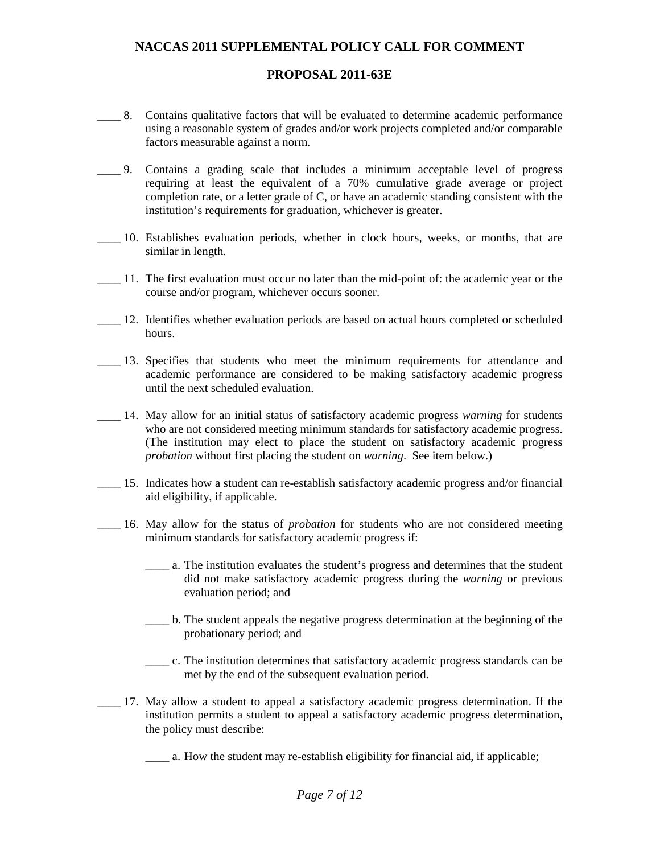## **PROPOSAL 2011-63E**

- \_\_\_\_ 8. Contains qualitative factors that will be evaluated to determine academic performance using a reasonable system of grades and/or work projects completed and/or comparable factors measurable against a norm.
- \_\_\_\_ 9. Contains a grading scale that includes a minimum acceptable level of progress requiring at least the equivalent of a 70% cumulative grade average or project completion rate, or a letter grade of C, or have an academic standing consistent with the institution's requirements for graduation, whichever is greater.
- \_\_\_\_ 10. Establishes evaluation periods, whether in clock hours, weeks, or months, that are similar in length.
- \_\_\_\_ 11. The first evaluation must occur no later than the mid-point of: the academic year or the course and/or program, whichever occurs sooner.
- \_\_\_\_ 12. Identifies whether evaluation periods are based on actual hours completed or scheduled hours.
- \_\_\_\_ 13. Specifies that students who meet the minimum requirements for attendance and academic performance are considered to be making satisfactory academic progress until the next scheduled evaluation.
- \_\_\_\_ 14. May allow for an initial status of satisfactory academic progress *warning* for students who are not considered meeting minimum standards for satisfactory academic progress. (The institution may elect to place the student on satisfactory academic progress *probation* without first placing the student on *warning*. See item below.)
- \_\_\_\_ 15. Indicates how a student can re-establish satisfactory academic progress and/or financial aid eligibility, if applicable.
- \_\_\_\_ 16. May allow for the status of *probation* for students who are not considered meeting minimum standards for satisfactory academic progress if:
	- \_\_\_\_ a. The institution evaluates the student's progress and determines that the student did not make satisfactory academic progress during the *warning* or previous evaluation period; and
	- \_\_\_\_ b. The student appeals the negative progress determination at the beginning of the probationary period; and
	- \_\_\_\_ c. The institution determines that satisfactory academic progress standards can be met by the end of the subsequent evaluation period.
- \_\_\_\_ 17. May allow a student to appeal a satisfactory academic progress determination. If the institution permits a student to appeal a satisfactory academic progress determination, the policy must describe:

\_\_\_\_ a. How the student may re-establish eligibility for financial aid, if applicable;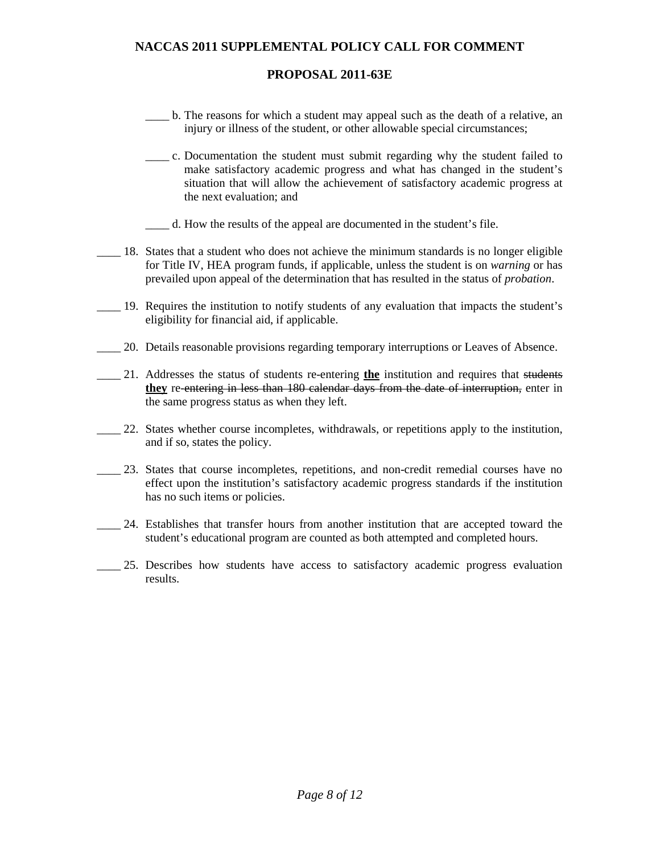### **PROPOSAL 2011-63E**

- \_\_\_\_ b. The reasons for which a student may appeal such as the death of a relative, an injury or illness of the student, or other allowable special circumstances;
- \_\_\_\_ c. Documentation the student must submit regarding why the student failed to make satisfactory academic progress and what has changed in the student's situation that will allow the achievement of satisfactory academic progress at the next evaluation; and
- \_\_\_\_ d. How the results of the appeal are documented in the student's file.
- \_\_\_\_ 18. States that a student who does not achieve the minimum standards is no longer eligible for Title IV, HEA program funds, if applicable, unless the student is on *warning* or has prevailed upon appeal of the determination that has resulted in the status of *probation*.
- \_\_\_\_ 19. Requires the institution to notify students of any evaluation that impacts the student's eligibility for financial aid, if applicable.
- \_\_\_\_ 20. Details reasonable provisions regarding temporary interruptions or Leaves of Absence.
- \_\_\_\_ 21. Addresses the status of students re-entering **the** institution and requires that students **they** re-entering in less than 180 calendar days from the date of interruption, enter in the same progress status as when they left.
- \_\_\_\_ 22. States whether course incompletes, withdrawals, or repetitions apply to the institution, and if so, states the policy.
- 23. States that course incompletes, repetitions, and non-credit remedial courses have no effect upon the institution's satisfactory academic progress standards if the institution has no such items or policies.
- \_\_\_\_ 24. Establishes that transfer hours from another institution that are accepted toward the student's educational program are counted as both attempted and completed hours.
	- 25. Describes how students have access to satisfactory academic progress evaluation results.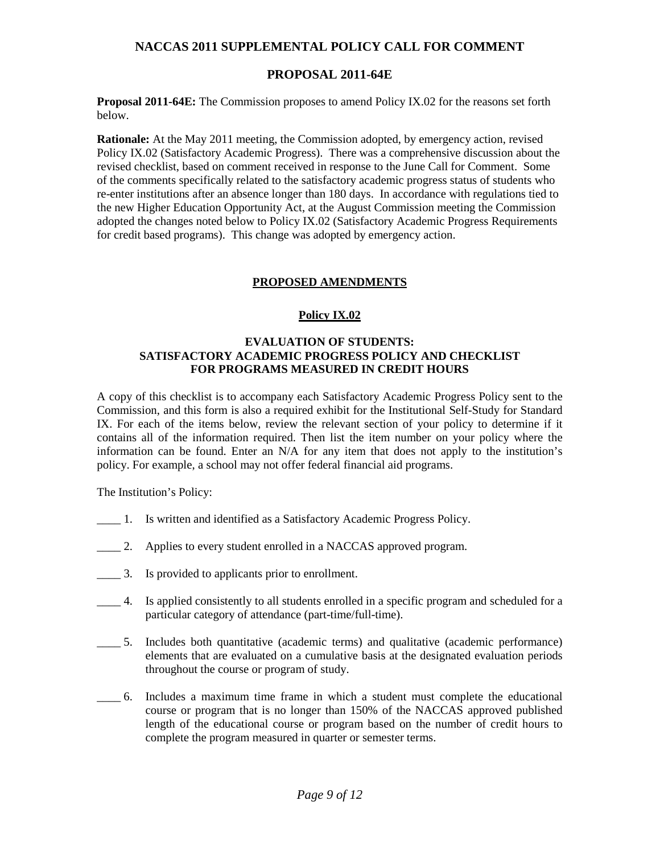### **PROPOSAL 2011-64E**

**Proposal 2011-64E:** The Commission proposes to amend Policy IX.02 for the reasons set forth below.

**Rationale:** At the May 2011 meeting, the Commission adopted, by emergency action, revised Policy IX.02 (Satisfactory Academic Progress). There was a comprehensive discussion about the revised checklist, based on comment received in response to the June Call for Comment. Some of the comments specifically related to the satisfactory academic progress status of students who re-enter institutions after an absence longer than 180 days. In accordance with regulations tied to the new Higher Education Opportunity Act, at the August Commission meeting the Commission adopted the changes noted below to Policy IX.02 (Satisfactory Academic Progress Requirements for credit based programs). This change was adopted by emergency action.

### **PROPOSED AMENDMENTS**

### **Policy IX.02**

#### **EVALUATION OF STUDENTS: SATISFACTORY ACADEMIC PROGRESS POLICY AND CHECKLIST FOR PROGRAMS MEASURED IN CREDIT HOURS**

A copy of this checklist is to accompany each Satisfactory Academic Progress Policy sent to the Commission, and this form is also a required exhibit for the Institutional Self-Study for Standard IX. For each of the items below, review the relevant section of your policy to determine if it contains all of the information required. Then list the item number on your policy where the information can be found. Enter an N/A for any item that does not apply to the institution's policy. For example, a school may not offer federal financial aid programs.

The Institution's Policy:

- \_\_\_\_ 1. Is written and identified as a Satisfactory Academic Progress Policy.
- \_\_\_\_ 2. Applies to every student enrolled in a NACCAS approved program.
- \_\_\_\_ 3. Is provided to applicants prior to enrollment.
- \_\_\_\_ 4. Is applied consistently to all students enrolled in a specific program and scheduled for a particular category of attendance (part-time/full-time).
- \_\_\_\_ 5. Includes both quantitative (academic terms) and qualitative (academic performance) elements that are evaluated on a cumulative basis at the designated evaluation periods throughout the course or program of study.
- \_\_\_\_ 6. Includes a maximum time frame in which a student must complete the educational course or program that is no longer than 150% of the NACCAS approved published length of the educational course or program based on the number of credit hours to complete the program measured in quarter or semester terms.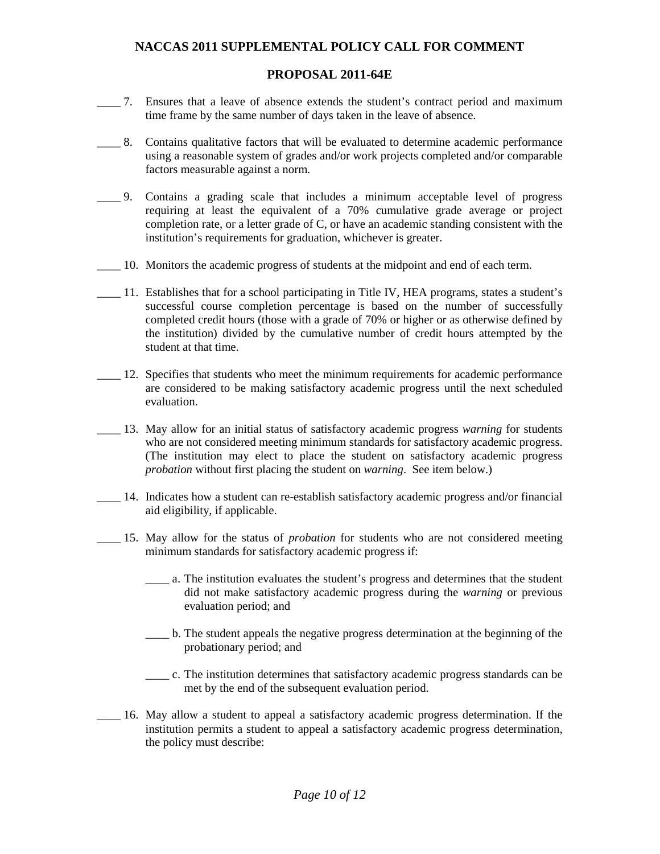### **PROPOSAL 2011-64E**

- \_\_\_\_ 7. Ensures that a leave of absence extends the student's contract period and maximum time frame by the same number of days taken in the leave of absence.
- \_\_\_\_ 8. Contains qualitative factors that will be evaluated to determine academic performance using a reasonable system of grades and/or work projects completed and/or comparable factors measurable against a norm.
- \_\_\_\_ 9. Contains a grading scale that includes a minimum acceptable level of progress requiring at least the equivalent of a 70% cumulative grade average or project completion rate, or a letter grade of C, or have an academic standing consistent with the institution's requirements for graduation, whichever is greater.
- \_\_\_\_ 10. Monitors the academic progress of students at the midpoint and end of each term.
- \_\_\_\_ 11. Establishes that for a school participating in Title IV, HEA programs, states a student's successful course completion percentage is based on the number of successfully completed credit hours (those with a grade of 70% or higher or as otherwise defined by the institution) divided by the cumulative number of credit hours attempted by the student at that time.
- \_\_\_\_ 12. Specifies that students who meet the minimum requirements for academic performance are considered to be making satisfactory academic progress until the next scheduled evaluation.
- \_\_\_\_ 13. May allow for an initial status of satisfactory academic progress *warning* for students who are not considered meeting minimum standards for satisfactory academic progress. (The institution may elect to place the student on satisfactory academic progress *probation* without first placing the student on *warning*. See item below.)
- \_\_\_\_ 14. Indicates how a student can re-establish satisfactory academic progress and/or financial aid eligibility, if applicable.
- \_\_\_\_ 15. May allow for the status of *probation* for students who are not considered meeting minimum standards for satisfactory academic progress if:
	- \_\_\_\_ a. The institution evaluates the student's progress and determines that the student did not make satisfactory academic progress during the *warning* or previous evaluation period; and
	- \_\_\_\_ b. The student appeals the negative progress determination at the beginning of the probationary period; and
	- \_\_\_\_ c. The institution determines that satisfactory academic progress standards can be met by the end of the subsequent evaluation period.
- \_\_\_\_ 16. May allow a student to appeal a satisfactory academic progress determination. If the institution permits a student to appeal a satisfactory academic progress determination, the policy must describe: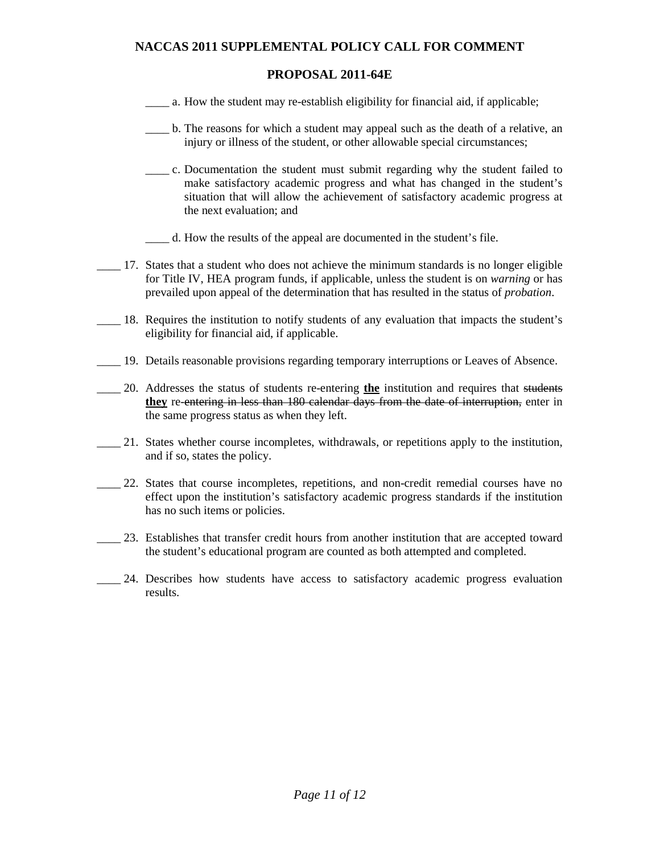### **PROPOSAL 2011-64E**

- a. How the student may re-establish eligibility for financial aid, if applicable;
- \_\_\_\_ b. The reasons for which a student may appeal such as the death of a relative, an injury or illness of the student, or other allowable special circumstances;
- \_\_\_\_ c. Documentation the student must submit regarding why the student failed to make satisfactory academic progress and what has changed in the student's situation that will allow the achievement of satisfactory academic progress at the next evaluation; and
- \_\_\_\_ d. How the results of the appeal are documented in the student's file.
- \_\_\_\_ 17. States that a student who does not achieve the minimum standards is no longer eligible for Title IV, HEA program funds, if applicable, unless the student is on *warning* or has prevailed upon appeal of the determination that has resulted in the status of *probation*.
- \_\_\_\_ 18. Requires the institution to notify students of any evaluation that impacts the student's eligibility for financial aid, if applicable.
- \_\_\_\_ 19. Details reasonable provisions regarding temporary interruptions or Leaves of Absence.
- \_\_\_\_ 20. Addresses the status of students re-entering **the** institution and requires that students **they** re-entering in less than 180 calendar days from the date of interruption, enter in the same progress status as when they left.
- \_\_\_\_ 21. States whether course incompletes, withdrawals, or repetitions apply to the institution, and if so, states the policy.
- \_\_\_\_ 22. States that course incompletes, repetitions, and non-credit remedial courses have no effect upon the institution's satisfactory academic progress standards if the institution has no such items or policies.
- \_\_\_\_ 23. Establishes that transfer credit hours from another institution that are accepted toward the student's educational program are counted as both attempted and completed.
- \_\_\_\_ 24. Describes how students have access to satisfactory academic progress evaluation results.